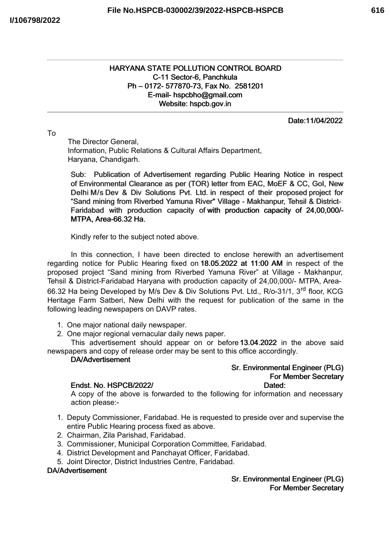# HARYANA STATE POLLUTION CONTROL BOARD C-11 Sector-6, Panchkula Ph – 0172- 577870-73, Fax No. 2581201 E-mail- hspcbho@gmail.com Website: hspcb.gov.in

Date:11/04/2022

# To

The Director General, Information, Public Relations & Cultural Affairs Department, Haryana, Chandigarh.

Sub: Publication of Advertisement regarding Public Hearing Notice in respect of Environmental Clearance as per (TOR) letter from EAC, MoEF & CC, GoI, New Delhi M/s Dev & Div Solutions Pvt. Ltd. in respect of their proposed project for "Sand mining from Riverbed Yamuna River" Village - Makhanpur, Tehsil & District-Faridabad with production capacity of with production capacity of 24,00,000/- MTPA, Area-66.32 Ha.

Kindly refer to the subject noted above.

In this connection, I have been directed to enclose herewith an advertisement regarding notice for Public Hearing fixed on 18.05.2022 at 11:00 AM in respect of the proposed project "Sand mining from Riverbed Yamuna River" at Village - Makhanpur, Tehsil & District-Faridabad Haryana with production capacity of 24,00,000/- MTPA, Area-66.32 Ha being Developed by M/s Dev & Div Solutions Pvt. Ltd., R/o-31/1, 3<sup>rd</sup> floor, KCG Heritage Farm Satberi, New Delhi with the request for publication of the same in the following leading newspapers on DAVP rates.

1. One major national daily newspaper.

2. One major regional vernacular daily news paper.

This advertisement should appear on or before13.04.2022 in the above said newspapers and copy of release order may be sent to this office accordingly.

# DA/Advertisement

# Sr. Environmental Engineer (PLG) For Member Secretary

# Endst. No. HSPCB/2022/ Dated: Dated:

A copy of the above is forwarded to the following for information and necessary action please:-

- 1. Deputy Commissioner, Faridabad. He is requested to preside over and supervise the entire Public Hearing process fixed as above.
- 2. Chairman, Zila Parishad, Faridabad.
- 3. Commissioner, Municipal Corporation Committee, Faridabad.
- 4. District Development and Panchayat Officer, Faridabad.
- 5. Joint Director, District Industries Centre, Faridabad.

# DA/Advertisement

# Sr. Environmental Engineer (PLG) For Member Secretary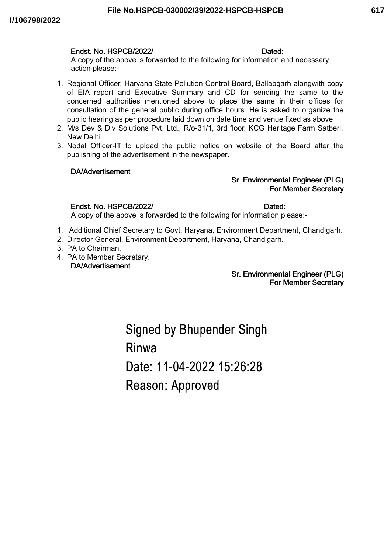#### Endst. No. HSPCB/2022/ Dated:

A copy of the above is forwarded to the following for information and necessary action please:-

- 1. Regional Officer, Haryana State Pollution Control Board, Ballabgarh alongwith copy of EIA report and Executive Summary and CD for sending the same to the concerned authorities mentioned above to place the same in their offices for consultation of the general public during office hours. He is asked to organize the public hearing as per procedure laid down on date time and venue fixed as above
- 2. M/s Dev & Div Solutions Pvt. Ltd., R/o-31/1, 3rd floor, KCG Heritage Farm Satberi, New Delhi
- 3. Nodal Officer-IT to upload the public notice on website of the Board after the publishing of the advertisement in the newspaper.

### DA/Advertisement

# Sr. Environmental Engineer (PLG) For Member Secretary

### Endst. No. HSPCB/2022/ Dated:

A copy of the above is forwarded to the following for information please:-

- 1. Additional Chief Secretary to Govt. Haryana, Environment Department, Chandigarh.
- 2. Director General, Environment Department, Haryana, Chandigarh.
- 3. PA to Chairman.
- 4. PA to Member Secretary. DA/Advertisement

### Sr. Environmental Engineer (PLG) For Member Secretary

**Signed by Bhupender Singh** Rinwa Date: 11-04-2022 15:26:28 Reason: Approved